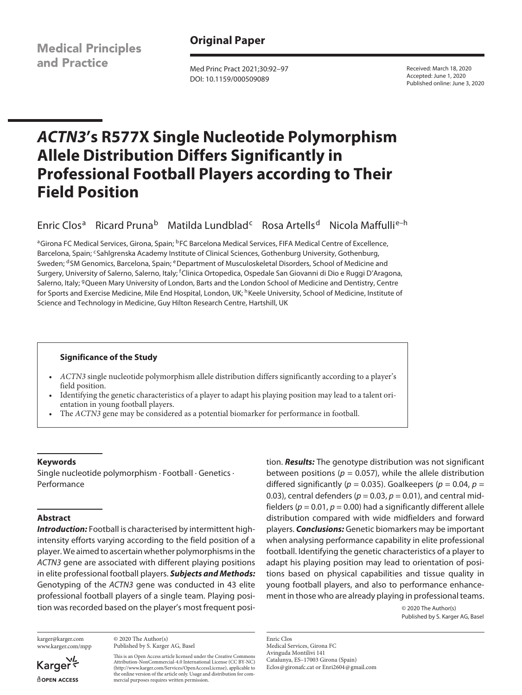**Medical Principles** and Practice

# **Original Paper**

Med Princ Pract 2021;30:92–97 DOI: 10.1159/000509089

Received: March 18, 2020 Accepted: June 1, 2020 Published online: June 3, 2020

# *ACTN3***'s R577X Single Nucleotide Polymorphism Allele Distribution Differs Significantly in Professional Football Players according to Their Field Position**

Enric Clos<sup>a</sup> Ricard Pruna<sup>b</sup> Matilda Lundblad<sup>c</sup> Rosa Artells<sup>d</sup> Nicola Maffulli<sup>e-h</sup>

aGirona FC Medical Services, Girona, Spain; <sup>b</sup>FC Barcelona Medical Services, FIFA Medical Centre of Excellence, Barcelona, Spain; <sup>c</sup>Sahlgrenska Academy Institute of Clinical Sciences, Gothenburg University, Gothenburg, Sweden; <sup>d</sup>SM Genomics, Barcelona, Spain; eDepartment of Musculoskeletal Disorders, School of Medicine and Surgery, University of Salerno, Salerno, Italy; <sup>f</sup>Clinica Ortopedica, Ospedale San Giovanni di Dio e Ruggi D'Aragona, Salerno, Italy; <sup>g</sup>Queen Mary University of London, Barts and the London School of Medicine and Dentistry, Centre for Sports and Exercise Medicine, Mile End Hospital, London, UK; <sup>h</sup>Keele University, School of Medicine, Institute of Science and Technology in Medicine, Guy Hilton Research Centre, Hartshill, UK

#### **Significance of the Study**

- *ACTN3* single nucleotide polymorphism allele distribution differs significantly according to a player's field position.
- Identifying the genetic characteristics of a player to adapt his playing position may lead to a talent orientation in young football players.
- The *ACTN3* gene may be considered as a potential biomarker for performance in football.

#### **Keywords**

Single nucleotide polymorphism · Football · Genetics · Performance

## **Abstract**

*Introduction:* Football is characterised by intermittent highintensity efforts varying according to the field position of a player. We aimed to ascertain whether polymorphisms in the *ACTN3* gene are associated with different playing positions in elite professional football players. *Subjects and Methods:* Genotyping of the *ACTN3* gene was conducted in 43 elite professional football players of a single team. Playing position was recorded based on the player's most frequent posi-

karger@karger.com www.karger.com/mpp

© 2020 The Author(s) Published by S. Karger AG, Basel

This is an Open Access article licensed under the Creative Commons Attribution-NonCommercial-4.0 International License (CC BY-NC) (http://www.karger.com/Services/OpenAccessLicense), applicable to the online version of the article only. Usage and distribution for commercial purposes requires written permission.

tion. *Results:* The genotype distribution was not significant between positions ( $p = 0.057$ ), while the allele distribution differed significantly ( $p = 0.035$ ). Goalkeepers ( $p = 0.04$ ,  $p =$ 0.03), central defenders ( $p = 0.03$ ,  $p = 0.01$ ), and central midfielders ( $p = 0.01$ ,  $p = 0.00$ ) had a significantly different allele distribution compared with wide midfielders and forward players. *Conclusions:* Genetic biomarkers may be important when analysing performance capability in elite professional football. Identifying the genetic characteristics of a player to adapt his playing position may lead to orientation of positions based on physical capabilities and tissue quality in young football players, and also to performance enhancement in those who are already playing in professional teams.

> © 2020 The Author(s) Published by S. Karger AG, Basel

Enric Clos Medical Services, Girona FC Avinguda Montilivi 141 Catalunya, ES–17003 Girona (Spain) Eclos@gironafc.cat or Enri2604@gmail.com

Karger<sup></sup> **ROPEN ACCESS**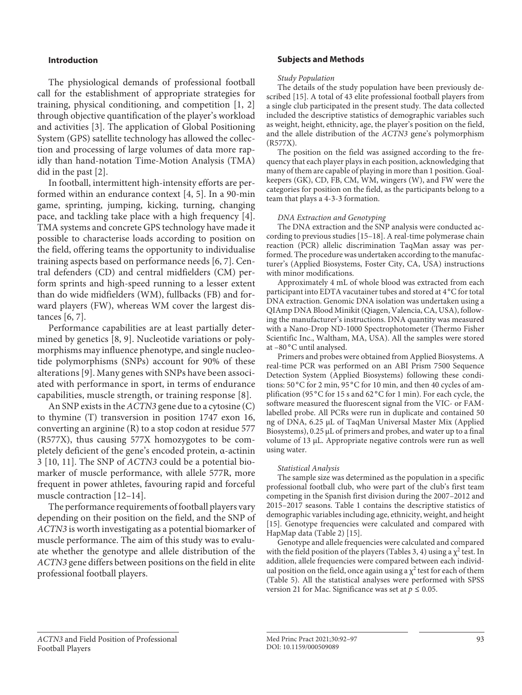## **Introduction**

<span id="page-1-1"></span><span id="page-1-0"></span>The physiological demands of professional football call for the establishment of appropriate strategies for training, physical conditioning, and competition [\[1,](#page-5-0) [2](#page-5-1)] through objective quantification of the player's workload and activities [\[3](#page-5-2)]. The application of Global Positioning System (GPS) satellite technology has allowed the collection and processing of large volumes of data more rapidly than hand-notation Time-Motion Analysis (TMA) did in the past [[2\]](#page-5-1).

<span id="page-1-2"></span>In football, intermittent high-intensity efforts are performed within an endurance context [[4](#page-5-3), [5\]](#page-5-4). In a 90-min game, sprinting, jumping, kicking, turning, changing pace, and tackling take place with a high frequency [[4\]](#page-5-3). TMA systems and concrete GPS technology have made it possible to characterise loads according to position on the field, offering teams the opportunity to individualise training aspects based on performance needs [\[6,](#page-5-5) [7\]](#page-5-6). Central defenders (CD) and central midfielders (CM) perform sprints and high-speed running to a lesser extent than do wide midfielders (WM), fullbacks (FB) and forward players (FW), whereas WM cover the largest distances [\[6,](#page-5-5) [7\]](#page-5-6).

<span id="page-1-4"></span><span id="page-1-3"></span>Performance capabilities are at least partially determined by genetics [[8,](#page-5-7) [9\]](#page-5-8). Nucleotide variations or polymorphisms may influence phenotype, and single nucleotide polymorphisms (SNPs) account for 90% of these alterations [\[9\]](#page-5-8). Many genes with SNPs have been associated with performance in sport, in terms of endurance capabilities, muscle strength, or training response [\[8\]](#page-5-7).

An SNP exists in the *ACTN3* gene due to a cytosine (C) to thymine (T) transversion in position 1747 exon 16, converting an arginine (R) to a stop codon at residue 577 (R577X), thus causing 577X homozygotes to be completely deficient of the gene's encoded protein, α-actinin 3 [[10](#page-5-0), [11](#page-5-0)]. The SNP of *ACTN3* could be a potential biomarker of muscle performance, with allele 577R, more frequent in power athletes, favouring rapid and forceful muscle contraction [\[1](#page-5-0)[2–](#page-5-1)[1](#page-5-0)[4](#page-5-3)].

<span id="page-1-6"></span><span id="page-1-5"></span>The performance requirements of football players vary depending on their position on the field, and the SNP of *ACTN3* is worth investigating as a potential biomarker of muscle performance. The aim of this study was to evaluate whether the genotype and allele distribution of the *ACTN3* gene differs between positions on the field in elite professional football players.

#### **Subjects and Methods**

#### *Study Population*

<span id="page-1-7"></span>The details of the study population have been previously described [\[1](#page-5-0)[5\]](#page-5-4). A total of 43 elite professional football players from a single club participated in the present study. The data collected included the descriptive statistics of demographic variables such as weight, height, ethnicity, age, the player's position on the field, and the allele distribution of the *ACTN3* gene's polymorphism (R577X).

The position on the field was assigned according to the frequency that each player plays in each position, acknowledging that many of them are capable of playing in more than 1 position. Goalkeepers (GK), CD, FB, CM, WM, wingers (W), and FW were the categories for position on the field, as the participants belong to a team that plays a 4-3-3 formation.

#### *DNA Extraction and Genotyping*

<span id="page-1-8"></span>The DNA extraction and the SNP analysis were conducted according to previous studies [\[1](#page-5-0)[5](#page-5-4)[–1](#page-5-0)[8](#page-5-7)]. A real-time polymerase chain reaction (PCR) allelic discrimination TaqMan assay was performed. The procedure was undertaken according to the manufacturer's (Applied Biosystems, Foster City, CA, USA) instructions with minor modifications.

Approximately 4 mL of whole blood was extracted from each participant into EDTA vacutainer tubes and stored at 4°C for total DNA extraction. Genomic DNA isolation was undertaken using a QIAmp DNA Blood Minikit (Qiagen, Valencia, CA, USA), following the manufacturer's instructions. DNA quantity was measured with a Nano-Drop ND-1000 Spectrophotometer (Thermo Fisher Scientific Inc., Waltham, MA, USA). All the samples were stored at -80 °C until analysed.

Primers and probes were obtained from Applied Biosystems. A real-time PCR was performed on an ABI Prism 7500 Sequence Detection System (Applied Biosystems) following these conditions: 50 °C for 2 min, 95 °C for 10 min, and then 40 cycles of amplification (95 °C for 15 s and 62 °C for 1 min). For each cycle, the software measured the fluorescent signal from the VIC- or FAMlabelled probe. All PCRs were run in duplicate and contained 50 ng of DNA, 6.25 μL of TaqMan Universal Master Mix (Applied Biosystems), 0.25 μL of primers and probes, and water up to a final volume of 13 μL. Appropriate negative controls were run as well using water.

#### *Statistical Analysis*

The sample size was determined as the population in a specific professional football club, who were part of the club's first team competing in the Spanish first division during the 2007–2012 and 2015–2017 seasons. Table 1 contains the descriptive statistics of demographic variables including age, ethnicity, weight, and height [\[1](#page-5-0)[5](#page-5-4)]. Genotype frequencies were calculated and compared with HapMap data (Table 2) [[1](#page-5-0)[5\]](#page-5-4).

Genotype and allele frequencies were calculated and compared with the field position of the players (Tables 3, 4) using a  $\chi^2$  test. In addition, allele frequencies were compared between each individual position on the field, once again using a  $\chi^2$  test for each of them (Table 5). All the statistical analyses were performed with SPSS version 21 for Mac. Significance was set at  $p \le 0.05$ .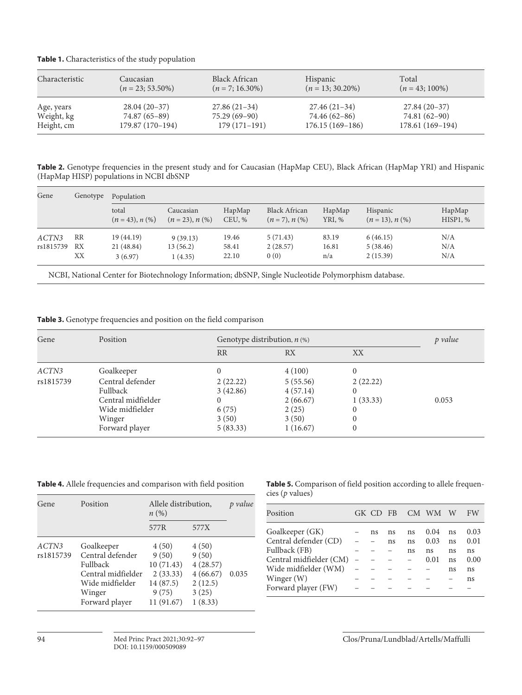| Characteristic | Caucasian           | Black African      | <b>Hispanic</b>     | Total             |
|----------------|---------------------|--------------------|---------------------|-------------------|
|                | $(n = 23, 53.50\%)$ | $(n = 7; 16.30\%)$ | $(n = 13; 30.20\%)$ | $(n = 43; 100\%)$ |
| Age, years     | $28.04(20-37)$      | $27.86(21-34)$     | $27.46(21-34)$      | $27.84(20-37)$    |
| Weight, kg     | 74.87 (65–89)       | $75.29(69-90)$     | 74.46 (62–86)       | 74.81 (62-90)     |
| Height, cm     | 179.87 (170-194)    | $179(171-191)$     | $176.15(169-186)$   | 178.61 (169–194)  |

**Table 2.** Genotype frequencies in the present study and for Caucasian (HapMap CEU), Black African (HapMap YRI) and Hispanic (HapMap HISP) populations in NCBI dbSNP

| Gene      | Genotype | Population                  |                                |                  |                                        |                  |                               |                    |  |
|-----------|----------|-----------------------------|--------------------------------|------------------|----------------------------------------|------------------|-------------------------------|--------------------|--|
|           |          | total<br>$(n = 43), n (\%)$ | Caucasian<br>$(n = 23), n (%)$ | HapMap<br>CEU, % | <b>Black African</b><br>$(n=7), n(\%)$ | HapMap<br>YRI, % | Hispanic<br>$(n = 13), n (%)$ | HapMap<br>HISP1, % |  |
| ACTN3     | RR       | 19(44.19)                   | 9(39.13)                       | 19.46            | 5(71.43)                               | 83.19            | 6(46.15)                      | N/A                |  |
| rs1815739 | RX       | 21 (48.84)                  | 13 (56.2)                      | 58.41            | 2(28.57)                               | 16.81            | 5(38.46)                      | N/A                |  |
|           | XX       | 3(6.97)                     | 1(4.35)                        | 22.10            | 0(0)                                   | n/a              | 2(15.39)                      | N/A                |  |

NCBI, National Center for Biotechnology Information; dbSNP, Single Nucleotide Polymorphism database.

**Table 3.** Genotype frequencies and position on the field comparison

| Gene      | Position           |           | Genotype distribution, $n$ (%) |          |       |  |  |
|-----------|--------------------|-----------|--------------------------------|----------|-------|--|--|
|           |                    | <b>RR</b> | <b>RX</b>                      | XX       |       |  |  |
| ACTN3     | Goalkeeper         | 0         | 4(100)                         | 0        |       |  |  |
| rs1815739 | Central defender   | 2(22.22)  | 5(55.56)                       | 2(22.22) |       |  |  |
|           | Fullback           | 3(42.86)  | 4(57.14)                       |          |       |  |  |
|           | Central midfielder | 0         | 2(66.67)                       | 1(33.33) | 0.053 |  |  |
|           | Wide midfielder    | 6(75)     | 2(25)                          | 0        |       |  |  |
|           | Winger             | 3(50)     | 3(50)                          |          |       |  |  |
|           | Forward player     | 5(83.33)  | 1(16.67)                       | 0        |       |  |  |

**Table 4.** Allele frequencies and comparison with field position

| Gene               | Position                                                                                                               | Allele distribution,<br>$n(\%)$                                             |                                                                       | value |
|--------------------|------------------------------------------------------------------------------------------------------------------------|-----------------------------------------------------------------------------|-----------------------------------------------------------------------|-------|
|                    |                                                                                                                        | 577R                                                                        | 577X                                                                  |       |
| ACTN3<br>rs1815739 | Goalkeeper<br>Central defender<br><b>Fullback</b><br>Central midfielder<br>Wide midfielder<br>Winger<br>Forward player | 4(50)<br>9(50)<br>10(71.43)<br>2(33.33)<br>14 (87.5)<br>9(75)<br>11 (91.67) | 4(50)<br>9(50)<br>4(28.57)<br>4(66.67)<br>2(12.5)<br>3(25)<br>1(8.33) | 0.035 |

**Table 5.** Comparison of field position according to allele frequencies (*p* values)

| Position                | GK CD FB |    |    | CM WM | W  | FW   |
|-------------------------|----------|----|----|-------|----|------|
| Goalkeeper (GK)         | ns       | ns | ns | 0.04  | ns | 0.03 |
| Central defender (CD)   |          | ns | ns | 0.03  | ns | 0.01 |
| Fullback (FB)           |          |    | ns | ns    | ns | ns   |
| Central midfielder (CM) |          |    |    | 0.01  | ns | 0.00 |
| Wide midfielder (WM)    |          |    |    |       | ns | ns   |
| Winger (W)              |          |    |    |       |    | ns   |
| Forward player (FW)     |          |    |    |       |    |      |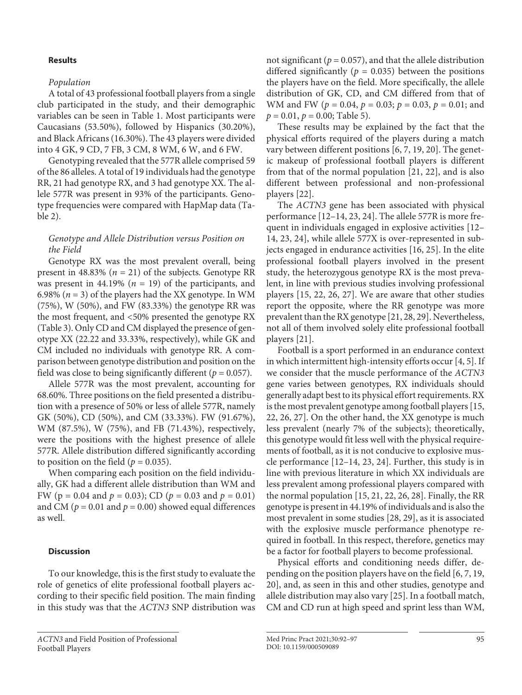### **Results**

## *Population*

A total of 43 professional football players from a single club participated in the study, and their demographic variables can be seen in Table 1. Most participants were Caucasians (53.50%), followed by Hispanics (30.20%), and Black Africans (16.30%). The 43 players were divided into 4 GK, 9 CD, 7 FB, 3 CM, 8 WM, 6 W, and 6 FW.

Genotyping revealed that the 577R allele comprised 59 of the 86 alleles. A total of 19 individuals had the genotype RR, 21 had genotype RX, and 3 had genotype XX. The allele 577R was present in 93% of the participants. Genotype frequencies were compared with HapMap data (Table 2).

## *Genotype and Allele Distribution versus Position on the Field*

Genotype RX was the most prevalent overall, being present in  $48.83\%$  ( $n = 21$ ) of the subjects. Genotype RR was present in  $44.19\%$  ( $n = 19$ ) of the participants, and 6.98%  $(n = 3)$  of the players had the XX genotype. In WM (75%), W (50%), and FW (83.33%) the genotype RR was the most frequent, and <50% presented the genotype RX (Table 3). Only CD and CM displayed the presence of genotype XX (22.22 and 33.33%, respectively), while GK and CM included no individuals with genotype RR. A comparison between genotype distribution and position on the field was close to being significantly different ( $p = 0.057$ ).

Allele 577R was the most prevalent, accounting for 68.60%. Three positions on the field presented a distribution with a presence of 50% or less of allele 577R, namely GK (50%), CD (50%), and CM (33.33%). FW (91.67%), WM (87.5%), W (75%), and FB (71.43%), respectively, were the positions with the highest presence of allele 577R. Allele distribution differed significantly according to position on the field ( $p = 0.035$ ).

When comparing each position on the field individually, GK had a different allele distribution than WM and FW (p = 0.04 and *p* = 0.03); CD (*p* = 0.03 and *p* = 0.01) and CM ( $p = 0.01$  and  $p = 0.00$ ) showed equal differences as well.

#### **Discussion**

To our knowledge, this is the first study to evaluate the role of genetics of elite professional football players according to their specific field position. The main finding in this study was that the *ACTN3* SNP distribution was not significant ( $p = 0.057$ ), and that the allele distribution differed significantly ( $p = 0.035$ ) between the positions the players have on the field. More specifically, the allele distribution of GK, CD, and CM differed from that of WM and FW (*p* = 0.04, *p* = 0.03; *p* = 0.03, *p* = 0.01; and  $p = 0.01$ ,  $p = 0.00$ ; Table 5).

<span id="page-3-0"></span>These results may be explained by the fact that the physical efforts required of the players during a match vary between different positions [[6](#page-5-5), [7](#page-5-6), [1](#page-5-0)[9](#page-5-8), [20](#page-5-1)]. The genetic makeup of professional football players is different from that of the normal population [\[2](#page-5-1)[1](#page-5-0), [22](#page-5-1)], and is also different between professional and non-professional players [[22](#page-5-1)].

<span id="page-3-1"></span>The *ACTN3* gene has been associated with physical performance [[1](#page-5-0)[2](#page-5-1)–[1](#page-5-0)[4,](#page-5-3) [2](#page-5-1)[3,](#page-5-2) [2](#page-5-1)[4](#page-5-3)]. The allele 577R is more frequent in individuals engaged in explosive activities [\[1](#page-5-0)[2](#page-5-1)– [1](#page-5-0)[4,](#page-5-3) [2](#page-5-1)[3,](#page-5-2) [2](#page-5-1)[4](#page-5-3)], while allele 577X is over-represented in subjects engaged in endurance activities [[1](#page-5-0)[6](#page-5-5), [2](#page-5-1)[5\]](#page-5-4). In the elite professional football players involved in the present study, the heterozygous genotype RX is the most prevalent, in line with previous studies involving professional players [\[1](#page-5-0)[5,](#page-5-4) [22,](#page-5-1) [2](#page-5-1)[6](#page-5-5), [2](#page-5-1)[7](#page-5-6)]. We are aware that other studies report the opposite, where the RR genotype was more prevalent than the RX genotype [[2](#page-5-1)[1,](#page-5-0) [2](#page-5-1)[8](#page-5-7), [2](#page-5-1)[9](#page-5-8)]. Nevertheless, not all of them involved solely elite professional football players [[2](#page-5-1)[1](#page-5-0)].

Football is a sport performed in an endurance context in which intermittent high-intensity efforts occur [[4,](#page-5-3) [5\]](#page-5-4). If we consider that the muscle performance of the *ACTN3* gene varies between genotypes, RX individuals should generally adapt best to its physical effort requirements. RX is the most prevalent genotype among football players [[1](#page-5-0)[5](#page-5-4), [22](#page-5-1), [2](#page-5-1)[6](#page-5-5), [2](#page-5-1)[7\]](#page-5-6). On the other hand, the XX genotype is much less prevalent (nearly 7% of the subjects); theoretically, this genotype would fit less well with the physical requirements of football, as it is not conducive to explosive muscle performance [[1](#page-5-0)[2](#page-5-1)–[1](#page-5-0)[4](#page-5-3), [2](#page-5-1)[3](#page-5-2), [2](#page-5-1)[4](#page-5-3)]. Further, this study is in line with previous literature in which XX individuals are less prevalent among professional players compared with the normal population [\[1](#page-5-0)[5,](#page-5-4) [2](#page-5-1)[1](#page-5-0), [22](#page-5-1), [2](#page-5-1)[6,](#page-5-5) [2](#page-5-1)[8\]](#page-5-7). Finally, the RR genotype is present in 44.19% of individuals and is also the most prevalent in some studies [[2](#page-5-1)[8](#page-5-7), [2](#page-5-1)[9\]](#page-5-8), as it is associated with the explosive muscle performance phenotype required in football. In this respect, therefore, genetics may be a factor for football players to become professional.

Physical efforts and conditioning needs differ, depending on the position players have on the field [\[6](#page-5-5), [7](#page-5-6), [1](#page-5-0)[9](#page-5-8), [2](#page-5-1)0], and, as seen in this and other studies, genotype and allele distribution may also vary [[2](#page-5-1)[5](#page-5-4)]. In a football match, CM and CD run at high speed and sprint less than WM,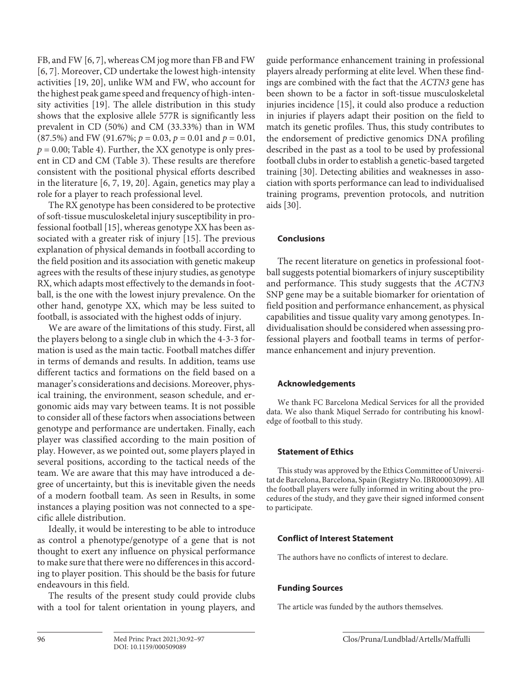FB, and FW [[6](#page-5-5), [7\]](#page-5-6), whereas CM jog more than FB and FW [\[6,](#page-5-5) [7\]](#page-5-6). Moreover, CD undertake the lowest high-intensity activities [[1](#page-5-0)[9,](#page-5-8) [2](#page-5-1)0], unlike WM and FW, who account for the highest peak game speed and frequency of high-intensity activities [[1](#page-5-0)[9](#page-5-8)]. The allele distribution in this study shows that the explosive allele 577R is significantly less prevalent in CD (50%) and CM (33.33%) than in WM (87.5%) and FW (91.67%; *p* = 0.03, *p* = 0.01 and *p* = 0.01,  $p = 0.00$ ; Table 4). Further, the XX genotype is only present in CD and CM (Table 3). These results are therefore consistent with the positional physical efforts described in the literature [[6](#page-5-5), [7,](#page-5-6) [1](#page-5-0)[9](#page-5-8), [20](#page-5-1)]. Again, genetics may play a role for a player to reach professional level.

The RX genotype has been considered to be protective of soft-tissue musculoskeletal injury susceptibility in professional football [[1](#page-5-0)[5](#page-5-4)], whereas genotype XX has been associated with a greater risk of injury [[1](#page-5-0)[5](#page-5-4)]. The previous explanation of physical demands in football according to the field position and its association with genetic makeup agrees with the results of these injury studies, as genotype RX, which adapts most effectively to the demands in football, is the one with the lowest injury prevalence. On the other hand, genotype XX, which may be less suited to football, is associated with the highest odds of injury.

We are aware of the limitations of this study. First, all the players belong to a single club in which the 4-3-3 formation is used as the main tactic. Football matches differ in terms of demands and results. In addition, teams use different tactics and formations on the field based on a manager's considerations and decisions. Moreover, physical training, the environment, season schedule, and ergonomic aids may vary between teams. It is not possible to consider all of these factors when associations between genotype and performance are undertaken. Finally, each player was classified according to the main position of play. However, as we pointed out, some players played in several positions, according to the tactical needs of the team. We are aware that this may have introduced a degree of uncertainty, but this is inevitable given the needs of a modern football team. As seen in Results, in some instances a playing position was not connected to a specific allele distribution.

Ideally, it would be interesting to be able to introduce as control a phenotype/genotype of a gene that is not thought to exert any influence on physical performance to make sure that there were no differences in this according to player position. This should be the basis for future endeavours in this field.

The results of the present study could provide clubs with a tool for talent orientation in young players, and guide performance enhancement training in professional players already performing at elite level. When these findings are combined with the fact that the *ACTN3* gene has been shown to be a factor in soft-tissue musculoskeletal injuries incidence [\[1](#page-5-0)[5](#page-5-4)], it could also produce a reduction in injuries if players adapt their position on the field to match its genetic profiles. Thus, this study contributes to the endorsement of predictive genomics DNA profiling described in the past as a tool to be used by professional football clubs in order to establish a genetic-based targeted training [[30](#page-5-2)]. Detecting abilities and weaknesses in association with sports performance can lead to individualised training programs, prevention protocols, and nutrition aids [\[30](#page-5-2)].

## **Conclusions**

The recent literature on genetics in professional football suggests potential biomarkers of injury susceptibility and performance. This study suggests that the *ACTN3* SNP gene may be a suitable biomarker for orientation of field position and performance enhancement, as physical capabilities and tissue quality vary among genotypes. Individualisation should be considered when assessing professional players and football teams in terms of performance enhancement and injury prevention.

## **Acknowledgements**

We thank FC Barcelona Medical Services for all the provided data. We also thank Miquel Serrado for contributing his knowledge of football to this study.

# **Statement of Ethics**

This study was approved by the Ethics Committee of Universitat de Barcelona, Barcelona, Spain (Registry No. IBR00003099). All the football players were fully informed in writing about the procedures of the study, and they gave their signed informed consent to participate.

# **Conflict of Interest Statement**

The authors have no conflicts of interest to declare.

# **Funding Sources**

The article was funded by the authors themselves.